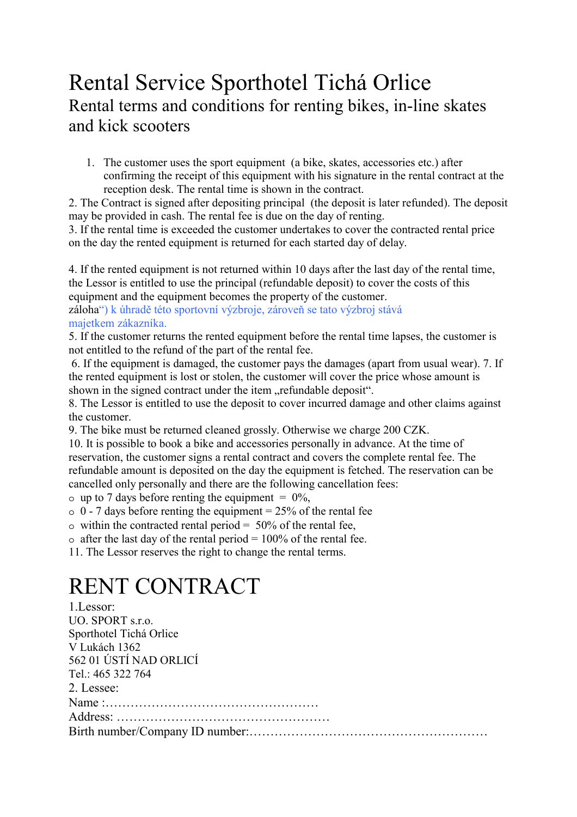## Rental Service Sporthotel Tichá Orlice Rental terms and conditions for renting bikes, in-line skates and kick scooters

1. The customer uses the sport equipment (a bike, skates, accessories etc.) after confirming the receipt of this equipment with his signature in the rental contract at the reception desk. The rental time is shown in the contract.

2. The Contract is signed after depositing principal (the deposit is later refunded). The deposit may be provided in cash. The rental fee is due on the day of renting.

3. If the rental time is exceeded the customer undertakes to cover the contracted rental price on the day the rented equipment is returned for each started day of delay.

4. If the rented equipment is not returned within 10 days after the last day of the rental time, the Lessor is entitled to use the principal (refundable deposit) to cover the costs of this equipment and the equipment becomes the property of the customer.

záloha") k úhradě této sportovní výzbroje, zároveň se tato výzbroj stává majetkem zákazníka.

5. If the customer returns the rented equipment before the rental time lapses, the customer is not entitled to the refund of the part of the rental fee.

 6. If the equipment is damaged, the customer pays the damages (apart from usual wear). 7. If the rented equipment is lost or stolen, the customer will cover the price whose amount is shown in the signed contract under the item "refundable deposit".

8. The Lessor is entitled to use the deposit to cover incurred damage and other claims against the customer.

9. The bike must be returned cleaned grossly. Otherwise we charge 200 CZK.

10. It is possible to book a bike and accessories personally in advance. At the time of reservation, the customer signs a rental contract and covers the complete rental fee. The refundable amount is deposited on the day the equipment is fetched. The reservation can be cancelled only personally and there are the following cancellation fees:

 $\circ$  up to 7 days before renting the equipment = 0%.

 $\circ$  0 - 7 days before renting the equipment = 25% of the rental fee

 $\circ$  within the contracted rental period = 50% of the rental fee,

 $\circ$  after the last day of the rental period = 100% of the rental fee.

11. The Lessor reserves the right to change the rental terms.

# RENT CONTRACT

| 1. Lessor:              |
|-------------------------|
| UO. SPORT s.r.o.        |
| Sporthotel Tichá Orlice |
| V Lukách 1362           |
| 562 01 ÚSTÍ NAD ORLICÍ  |
| Tel.: 465 322 764       |
| 2. Lessee:              |
|                         |
|                         |
|                         |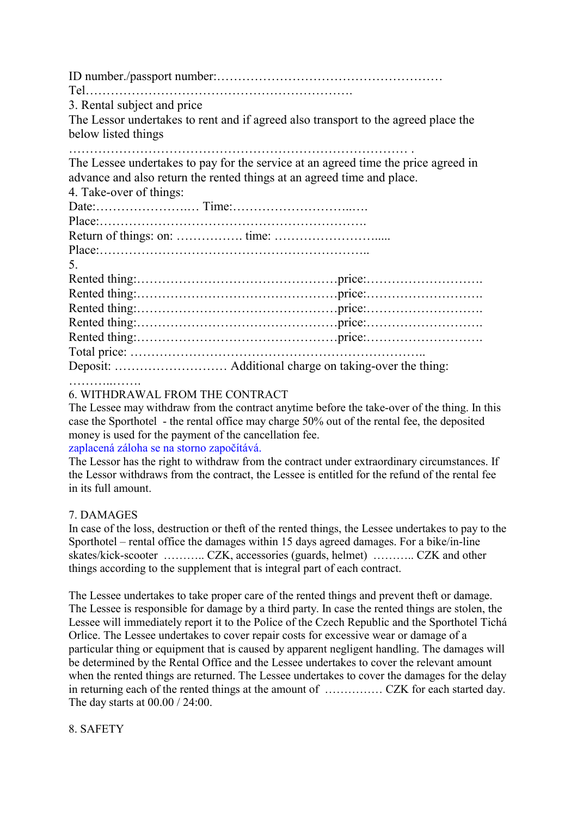ID number./passport number:……………………………………………… Tel………………………………………………………. 3. Rental subject and price The Lessor undertakes to rent and if agreed also transport to the agreed place the below listed things

……………………………………………………………………… . The Lessee undertakes to pay for the service at an agreed time the price agreed in

advance and also return the rented things at an agreed time and place.

| 4. Take-over of things: |  |
|-------------------------|--|
|                         |  |
|                         |  |
|                         |  |
|                         |  |
| 5.                      |  |
|                         |  |
|                         |  |
|                         |  |
|                         |  |
|                         |  |
|                         |  |
|                         |  |

………..…….

### 6. WITHDRAWAL FROM THE CONTRACT

The Lessee may withdraw from the contract anytime before the take-over of the thing. In this case the Sporthotel - the rental office may charge 50% out of the rental fee, the deposited money is used for the payment of the cancellation fee.

### zaplacená záloha se na storno započítává.

The Lessor has the right to withdraw from the contract under extraordinary circumstances. If the Lessor withdraws from the contract, the Lessee is entitled for the refund of the rental fee in its full amount.

### 7. DAMAGES

In case of the loss, destruction or theft of the rented things, the Lessee undertakes to pay to the Sporthotel – rental office the damages within 15 days agreed damages. For a bike/in-line skates/kick-scooter ……….. CZK, accessories (guards, helmet) ……….. CZK and other things according to the supplement that is integral part of each contract.

The Lessee undertakes to take proper care of the rented things and prevent theft or damage. The Lessee is responsible for damage by a third party. In case the rented things are stolen, the Lessee will immediately report it to the Police of the Czech Republic and the Sporthotel Tichá Orlice. The Lessee undertakes to cover repair costs for excessive wear or damage of a particular thing or equipment that is caused by apparent negligent handling. The damages will be determined by the Rental Office and the Lessee undertakes to cover the relevant amount when the rented things are returned. The Lessee undertakes to cover the damages for the delay in returning each of the rented things at the amount of …………… CZK for each started day. The day starts at 00.00 / 24:00.

### 8. SAFETY